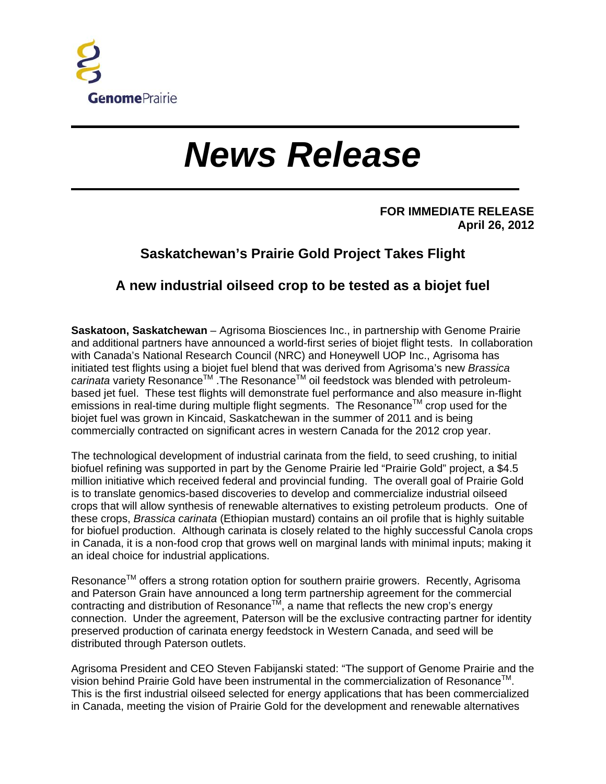

# *News Release*

#### **FOR IMMEDIATE RELEASE April 26, 2012**

## **Saskatchewan's Prairie Gold Project Takes Flight**

### **A new industrial oilseed crop to be tested as a biojet fuel**

**Saskatoon, Saskatchewan** – Agrisoma Biosciences Inc., in partnership with Genome Prairie and additional partners have announced a world-first series of biojet flight tests. In collaboration with Canada's National Research Council (NRC) and Honeywell UOP Inc., Agrisoma has initiated test flights using a biojet fuel blend that was derived from Agrisoma's new *Brassica*  carinata variety Resonance<sup>™</sup>. The Resonance<sup>™</sup> oil feedstock was blended with petroleumbased jet fuel. These test flights will demonstrate fuel performance and also measure in-flight emissions in real-time during multiple flight segments. The Resonance™ crop used for the biojet fuel was grown in Kincaid, Saskatchewan in the summer of 2011 and is being commercially contracted on significant acres in western Canada for the 2012 crop year.

The technological development of industrial carinata from the field, to seed crushing, to initial biofuel refining was supported in part by the Genome Prairie led "Prairie Gold" project, a \$4.5 million initiative which received federal and provincial funding. The overall goal of Prairie Gold is to translate genomics-based discoveries to develop and commercialize industrial oilseed crops that will allow synthesis of renewable alternatives to existing petroleum products. One of these crops, *Brassica carinata* (Ethiopian mustard) contains an oil profile that is highly suitable for biofuel production. Although carinata is closely related to the highly successful Canola crops in Canada, it is a non-food crop that grows well on marginal lands with minimal inputs; making it an ideal choice for industrial applications.

Resonance™ offers a strong rotation option for southern prairie growers. Recently, Agrisoma and Paterson Grain have announced a long term partnership agreement for the commercial contracting and distribution of Resonance<sup>TM</sup>, a name that reflects the new crop's energy connection. Under the agreement, Paterson will be the exclusive contracting partner for identity preserved production of carinata energy feedstock in Western Canada, and seed will be distributed through Paterson outlets.

Agrisoma President and CEO Steven Fabijanski stated: "The support of Genome Prairie and the vision behind Prairie Gold have been instrumental in the commercialization of Resonance<sup>TM</sup>. This is the first industrial oilseed selected for energy applications that has been commercialized in Canada, meeting the vision of Prairie Gold for the development and renewable alternatives